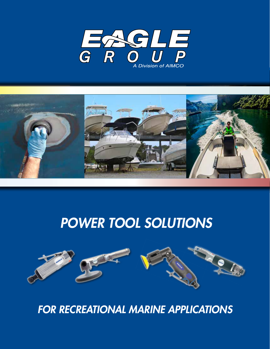



# *POWER TOOL SOLUTIONS*



*FOR RECREATIONAL MARINE APPLICATIONS*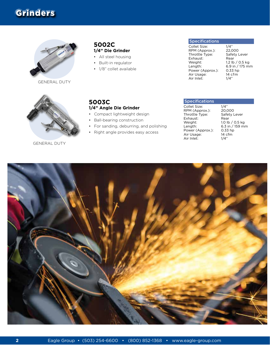## Grinders



GENERAL DUTY



GENERAL DUTY

#### **5002C 1/4" Die Grinder**

- All steel housing
- Built-in regulator

**5003C**

• 1/8" collet available

**1/4" Angle Die Grinder** • Compact lightweight design • Ball-bearing construction

• For sanding, deburring, and polishing • Right angle provides easy access

#### **Specifications**

Collet Size: 1/4"<br>RPM (Approx.): 22,000 RPM (Approx.): Throttle Type: Safety Lever<br>Exhaust: Rear Exhaust:<br>Weight: Weight: 1.2 lb / 0.5 kg<br>Length: 6.9 in / 175 mm Power (Approx.): Air Usage: 14 cfm<br>
Air Inlet: 1/4" Air Inlet:

 $6.9$  in / 175 mm<br>0.33 hp

| <b>Specifications</b>                                                                                                              |                                                                                                     |
|------------------------------------------------------------------------------------------------------------------------------------|-----------------------------------------------------------------------------------------------------|
| Collet Size:<br>RPM (Approx.):<br>Throttle Type:<br>Exhaust:<br>Weight:<br>Length:<br>Power (Approx.):<br>Air Usage:<br>Air Inlet: | 1/4"<br>20,000<br>Safety Lever<br>Rear<br>1.0 lb / 0.5 kg<br>6.3 in / 159 mm<br>$0.33$ hp<br>14 cfm |

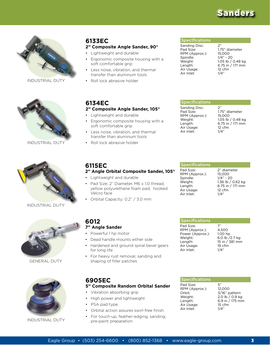## Sanders

![](_page_2_Picture_1.jpeg)

INDUSTRIAL DUTY

![](_page_2_Picture_3.jpeg)

INDUSTRIAL DUTY

![](_page_2_Picture_5.jpeg)

INDUSTRIAL DUTY

![](_page_2_Picture_7.jpeg)

GENERAL DUTY

![](_page_2_Picture_9.jpeg)

INDUSTRIAL DUTY

### **6133EC**

#### **2" Composite Angle Sander, 90°**

- Lightweight and durable
- Ergonomic composite housing with a soft comfortable grip
- Less noise, vibration, and thermal transfer than aluminum tools
- Roll lock abrasive holder

#### Specifications

Sanding Disc: 2" Pad Size: 1.75" diameter<br>RPM (Approx.): 15,000 RPM (Approx.):<br>Spindle: Spindle: 1/4" - 20<br>Weight: 1.05 lb / Air Usage: 12 cfm<br>Air Inlet: 1/4" Air Inlet:

**Specifications** Sanding Disc: 2"<br>Pad Size: 1.7

RPM (Approx.):

Air Inlet:

Weight: 1.05 lb / 0.48 kg<br>
Length: 6.75 in / 171 mm 6.75 in / 171 mm<br>12 cfm

1.75" diameter<br>15,000

Weight: 1.05 lb / 0.48 kg Length: 6.75 in / 171 mm

Air Usage: 12 cfm<br>
Air Inlet: 1/4"

| 6134E | ∼ |
|-------|---|
|-------|---|

#### **2" Composite Angle Sander, 105°**

- Lightweight and durable
- Ergonomic composite housing with a soft comfortable grip

**2" Angle Orbital Composite Sander, 105°**

Pad Size: 2" Diameter, M6 x 1.0 thread,

- Less noise, vibration, and thermal transfer than aluminum tools
- Roll lock abrasive holder

• Lightweight and durable

#### **Specifications**

Pad Size: 2" diameter RPM (Approx.): 15,000<br>Spindle: 1/4" - 2 Weight: 1.36 lb / 0.62 kg Length: 6.75 in / 171 mm Air Usage: 12 cfm Air Inlet: 1/4"

 $1/4" - 20$ 

|             | yellow polyurethane foam pad, hooked |  |
|-------------|--------------------------------------|--|
| Velcro face |                                      |  |

**6115EC**

• Orbital Capacity: 0.2" / 3.0 mm

## **6012**

#### **7" Angle Sander**

- Powerful 1 hp motor
- Dead handle mounts either side
- Hardened and ground spiral bevel gears for long life
- For heavy rust removal, sanding and shaping of filler patches

## **6905EC**

#### **5" Composite Random Orbital Sander**

- Vibration absorbing grip
- High power and lightweight
- PSA pad type
- Orbital action assures swirl-free finish
- For touch-up, feather-edging, sanding, pre-paint preparation

| 7"             |
|----------------|
| 4.500          |
| 1.00 hp        |
| 6.0 lb /2.7 kg |
| 15 in / 381 mm |
| 19 cfm         |
| 1/4"           |
|                |

| <b>Specifications</b> |                 |
|-----------------------|-----------------|
| Pad Size:             | 5"              |
| RPM (Approx.):        | 12.000          |
| Orbit:                | 3/16" pattern   |
| Weight:               | 2.0 lb / 0.9 kg |
| Length:               | 6.9 in / 175 mm |
| Air Usage:            | 15 cfm          |
| Air Inlet:            |                 |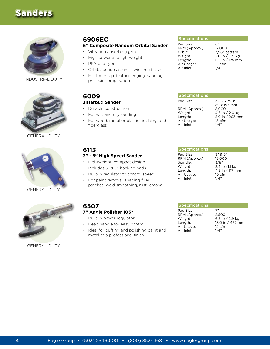## Sanders

![](_page_3_Picture_1.jpeg)

INDUSTRIAL DUTY

![](_page_3_Picture_3.jpeg)

GENERAL DUTY

![](_page_3_Picture_5.jpeg)

GENERAL DUTY

## **6906EC**

#### **6" Composite Random Orbital Sander**

- Vibration absorbing grip
- High power and lightweight
- PSA pad type
- Orbital action assures swirl-free finish
- For touch-up, feather-edging, sanding, pre-paint preparation

## **6009**

## **Jitterbug Sander**

- Durable construction
- For wet and dry sanding
- For wood, metal or plastic finishing, and fiberglass

#### **Specifications**

Pad Size: 6"<br>RPM (Approx.): 12.000 RPM (Approx.):<br>Orbit: Orbit: 3/16" pattern<br>Weight: 2.0 lb / 0.9 kg Weight: 2.0 lb / 0.9 kg<br>
Length: 6.9 in / 175 mm Air Usage: 15 ct<br>Air Inlet: 1/4" Air Inlet:

 $6.9$  in / 175 mm<br>15 cfm

| <b>Specifications</b> |                              |
|-----------------------|------------------------------|
| Pad Size:             | 3.5 x 7.75 in<br>89 x 197 mm |
| RPM (Approx.):        | 8.000                        |
| Weight:               | 4.3 lb / 2.0 kg              |
| Length:               | 8.0 in / 203 mm              |
| Air Usage:            | 15 cfm                       |
| Air Inlet:            |                              |

### **6113 3" - 5" High Speed Sander**

- Lightweight, compact design
- Includes 3" & 5" backing pads
- Built-in regulator to control speed
- For paint removal, shaping filler patches, weld smoothing, rust removal

#### **Specifications**

Pad Size: 3" & 5"<br>RPM (Approx.): 18,000 RPM (Approx.): Spindle: 3/8"<br>Weight: 2.4 ll Length: 4.6 in / 117 mm<br>Air Usage: 19 cfm Air Usage: 19 ct<br>Air Inlet: 1/4" Air Inlet:

2.4 lb /1.1 kg

![](_page_3_Picture_31.jpeg)

GENERAL DUTY

#### **6507 7" Angle Polisher 105°**

- Built-in power regulator
- Dead handle for easy control
	- Ideal for buffing and polishing paint and metal to a professional finish

#### **Specifications**

| Pad Size:      | 7"                |
|----------------|-------------------|
| RPM (Approx.): | 2.500             |
| Weight:        | 6.5 lb $/$ 2.9 kg |
| Lenath:        | 18.0 in / 457 mm  |
| Air Usage:     | 12 cfm            |
| Air Inlet:     | 1/4"              |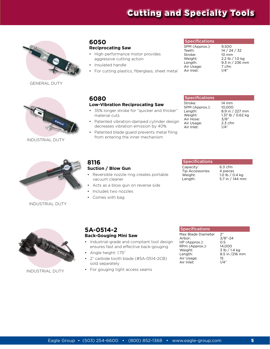## Cutting and Specialty Tools

![](_page_4_Picture_1.jpeg)

GENERAL DUTY

![](_page_4_Picture_3.jpeg)

INDUSTRIAL DUTY

### **6050 Reciprocating Saw**

- High performance motor provides aggressive cutting action
- Insulated handle
- For cutting plastics, fiberglass, sheet metal

#### **Specifications**

SPM (Approx.): 9,500<br>Teeth: 14 / 24 14 / 24 / 32<br>10 mm Stroke:<br>Weight: Weight: 2.2 lb / 1.0 kg<br>
Length: 9.3 in / 236 m  $9.3$  in  $/$  236 mm<br>7 cfm Air Usage: 7 cfm<br>Air Inlet: 1/4" Air Inlet:

## **6080**

#### **Low-Vibration Reciprocating Saw**

- 35% longer stroke for "quicker and thicker" material cuts
- Patented vibration-damped cylinder design decreases vibration emission by 40%
- Patented blade guard prevents metal filing from entering the inner mechanism

#### Specifications

| Stroke:        | $14 \text{ mm}$   |
|----------------|-------------------|
| SPM (Approx.): | 10.000            |
| Length:        | 8.9 in / 227 mm   |
| Weight:        | 1.37 lb / 0.62 kg |
| Air Hose:      | 3/8"              |
| Air Usage:     | $2.3$ cfm         |
| Air Inlet:     | 1/4"              |

![](_page_4_Picture_18.jpeg)

INDUSTRIAL DUTY

#### **8116 Suction / Blow Gun**

- Reversible nozzle ring creates portable vacuum cleaner
- Acts as a blow gun on reverse side
- Includes two nozzles
- Comes with bag

#### **Specifications**

Capacity: 6.3 cfm<br>Tip Accessories: 4 pieces Tip Accessories:<br>Weight: Weight: 1.0 lb / 0.4 kg<br>Length: 5.7 in / 144 mm

5.7 in  $/$  144 mm

![](_page_4_Picture_28.jpeg)

INDUSTRIAL DUTY

### **5A-0514-2 Back-Gouging Mini Saw**

- Industrial-grade and compliant tool design ensures fast and effective back-gouging
- Angle height: 1.75"
- 2" carbide tooth blade (#5A-0514-2CB) sold separately
- For gouging tight access seams

#### Specifications

Max Blade Diameter 2<sup>2</sup><br>Arbor: 3, HP (Approx.): 0.5<br>RPm (Approx.): 14,000 RPm (Approx.):<br>Weight: Weight:  $\frac{3 \text{ lb}}{1.4 \text{ kg}}$ <br>Length: 8.5 in /216 m Air Usage: 15<br>Air Inlet: 1/4" Air Inlet:

3/8"-24<br>0.5 8.5 in /216 mm<br>15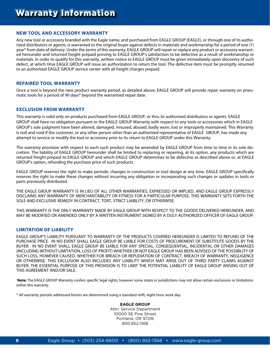#### **NEW TOOL AND ACCESSORY WARRANTY**

Any new tool or accessory branded with the Eagle name, and purchased from EAGLE GROUP (EAGLE), or through one of its authorized distributors or agents, is warranted to the original buyer against defects in materials and workmanship for a period of one (1) year\* from date of delivery. Under the terms of this warranty, EAGLE GROUP will repair or replace any product or accessory warranted hereunder and returned freight prepaid proving to EAGLE GROUP's satisfaction to be defective as a result of workmanship or materials. In order to qualify for this warranty, written notice to EAGLE GROUP must be given immediately upon discovery of such defect, at which time EAGLE GROUP will issue an authorization to return the tool. The defective item must be promptly returned to an authorized EAGLE GROUP service center with all freight charges prepaid.

#### **REPAIRED TOOL WARRANTY**

Once a tool is beyond the new product warranty period, as detailed above, EAGLE GROUP will provide repair warranty on pneumatic tools for a period of 90 days\* beyond the warrantied repair date.

#### **EXCLUSION FROM WARRANTY**

This warranty is valid only on products purchased from EAGLE GROUP, or thru its authorized distributors or agents. EAGLE GROUP shall have no obligation pursuant to the EAGLE GROUP Warranty with respect to any tools or accessories which in EAGLE GROUP's sole judgment have been altered, damaged, misused, abused, badly worn, lost or improperly maintained. This Warranty is null and void if the customer, or any other person other than an authorized representative of EAGLE GROUP, has made any attempt to service or modify the tool or accessory prior to its return to EAGLE GROUP under this Warranty.

The warranty provision with respect to each such product may be amended by EAGLE GROUP from time to time in its sole discretion. The liability of EAGLE GROUP hereunder shall be limited to replacing or repairing, at its option, any products which are returned freight prepaid to EAGLE GROUP and which EAGLE GROUP determines to be defective as described above or, at EAGLE GROUP's option, refunding the purchase price of such products.

EAGLE GROUP reserves the right to make periodic changes in construction or tool design at any time. EAGLE GROUP specifically reserves the right to make these changes without incurring any obligation or incorporating such changes or updates in tools or parts previously distributed.

THE EAGLE GROUP WARRANTY IS IN LIEU OF ALL OTHER WARRANTIES, EXPRESSED OR IMPLIED, AND EAGLE GROUP EXPRESSLY DISCLAIMS ANY WARRANTY OF MERCHANTABILITY OR FITNESS FOR A PARTICULAR PURPOSE. THIS WARRANTY SETS FORTH THE SOLE AND EXCLUSIVE REMEDY IN CONTRACT, TORT, STRICT LIABILITY, OR OTHERWISE.

THIS WARRANTY IS THE ONLY WARRANTY MADE BY EAGLE GROUP WITH RESPECT TO THE GOODS DELIVERED HEREUNDER, AND MAY BE MODIFIED OR AMENDED ONLY BY A WRITTEN INSTRUMENT SIGNED BY A DULY AUTHORIZED OFFICER OF EAGLE GROUP.

#### **LIMITATION OF LIABILITY**

EAGLE GROUP'S LIABILITY PURSUANT TO WARRANTY OF THE PRODUCTS COVERED HEREUNDER IS LIMITED TO REFUND OF THE PURCHASE PRICE. IN NO EVENT SHALL EAGLE GROUP BE LIABLE FOR COSTS OF PROCUREMENT OF SUBSTITUTE GOODS BY THE BUYER. IN NO EVENT SHALL EAGLE GROUP BE LIABLE FOR ANY SPECIAL, CONSEQUENTIAL, INCIDENTAL OR OTHER DAMAGES (INCLUDING WITHOUT LIMITATION, LOSS OF PROFIT) WHETHER OR NOT EAGLE GROUP HAS BEEN ADVISED OF THE POSSIBILITY OF SUCH LOSS, HOWEVER CAUSED, WHETHER FOR BREACH OR REPUDIATION OF CONTRACT, BREACH OF WARRANTY, NEGLIGENCE OR OTHERWISE. THIS EXCLUSION ALSO INCLUDES ANY LIABILITY WHICH MAY ARISE OUT OF THIRD PARTY CLAIMS AGAINST BUYER. THE ESSENTIAL PURPOSE OF THIS PROVISION IS TO LIMIT THE POTENTIAL LIABILITY OF EAGLE GROUP ARISING OUT OF THIS AGREEMENT AND/OR SALE.

**Note:** The EAGLE GROUP Warranty confers specific legal rights, however some states or jurisdictions may not allow certain exclusions or limitations within this warranty.

\* All warranty periods addressed herein are determined using a standard shift, eight-hour work day.

#### **EAGLE GROUP**

Attn: Service Department 10000 SE Pine Street Portland, OR 97216 800.852.1368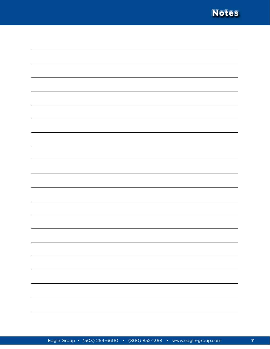![](_page_6_Picture_0.jpeg)